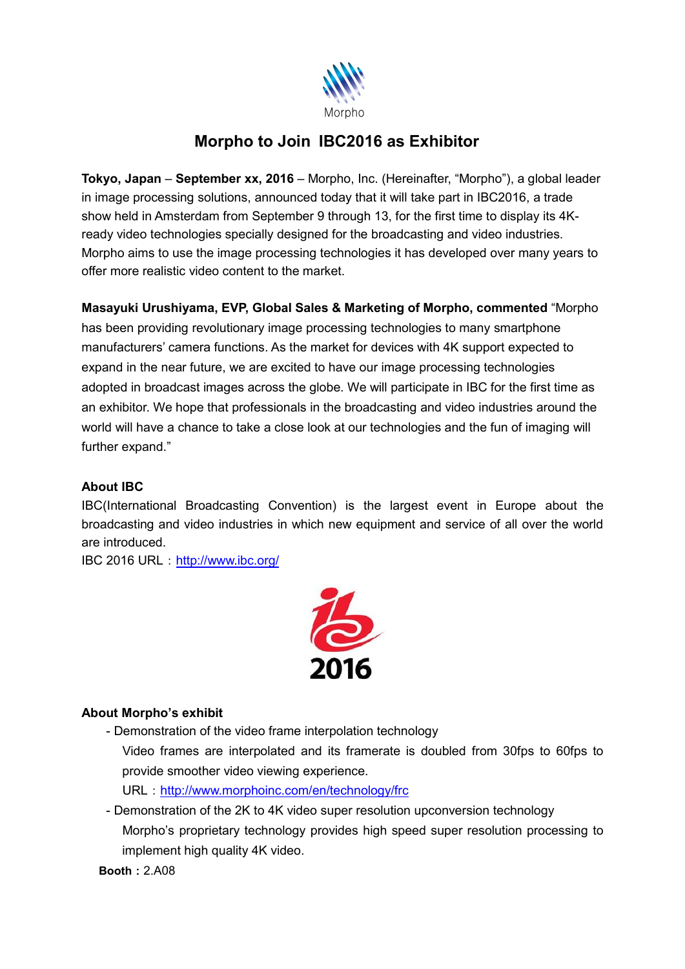

## **Morpho to Join IBC2016 as Exhibitor**

**Tokyo, Japan** – **September xx, 2016** – Morpho, Inc. (Hereinafter, "Morpho"), a global leader in image processing solutions, announced today that it will take part in IBC2016, a trade show held in Amsterdam from September 9 through 13, for the first time to display its 4Kready video technologies specially designed for the broadcasting and video industries. Morpho aims to use the image processing technologies it has developed over many years to offer more realistic video content to the market.

**Masayuki Urushiyama, EVP, Global Sales & Marketing of Morpho, commented** "Morpho

has been providing revolutionary image processing technologies to many smartphone manufacturers' camera functions. As the market for devices with 4K support expected to expand in the near future, we are excited to have our image processing technologies adopted in broadcast images across the globe. We will participate in IBC for the first time as an exhibitor. We hope that professionals in the broadcasting and video industries around the world will have a chance to take a close look at our technologies and the fun of imaging will further expand."

## **About IBC**

IBC(International Broadcasting Convention) is the largest event in Europe about the broadcasting and video industries in which new equipment and service of all over the world are introduced.

IBC 2016 URL: <http://www.ibc.org/>



## **About Morpho's exhibit**

- Demonstration of the video frame interpolation technology

Video frames are interpolated and its framerate is doubled from 30fps to 60fps to provide smoother video viewing experience.

URL: <http://www.morphoinc.com/en/technology/frc>

- Demonstration of the 2K to 4K video super resolution upconversion technology Morpho's proprietary technology provides high speed super resolution processing to implement high quality 4K video.

**Booth:**2.A08